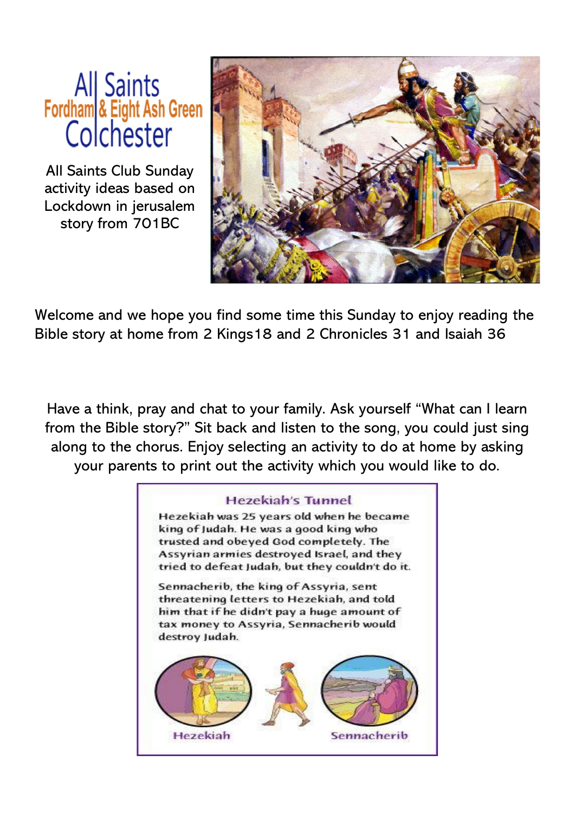## All Saints<br>Fordham & Eight Ash Green<br>Colchester

All Saints Club Sunday activity ideas based on Lockdown in jerusalem story from 701BC



Welcome and we hope you find some time this Sunday to enjoy reading the Bible story at home from 2 Kings18 and 2 Chronicles 31 and Isaiah 36

Have a think, pray and chat to your family. Ask yourself "What can I learn from the Bible story?" Sit back and listen to the song, you could just sing along to the chorus. Enjoy selecting an activity to do at home by asking your parents to print out the activity which you would like to do.

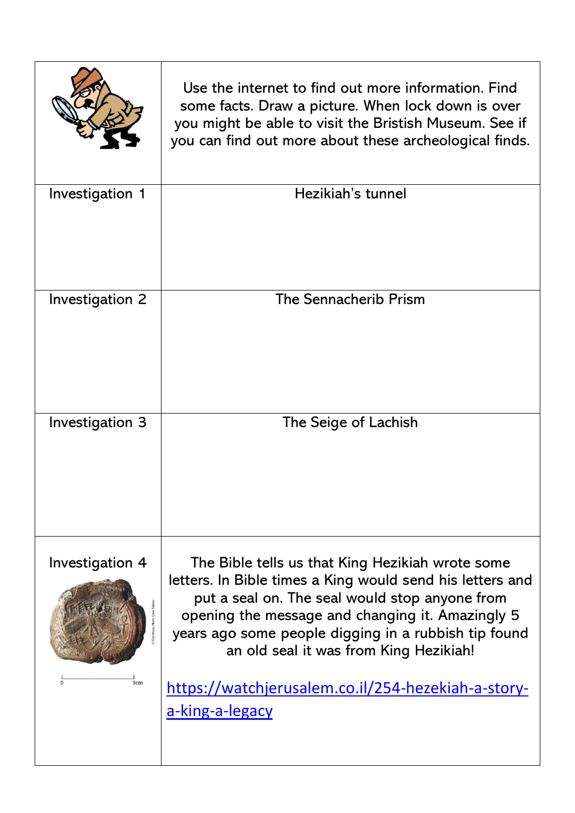|                                    | Use the internet to find out more information. Find<br>some facts. Draw a picture. When lock down is over<br>you might be able to visit the Bristish Museum. See if<br>you can find out more about these archeological finds.                                                                                                                                                                  |
|------------------------------------|------------------------------------------------------------------------------------------------------------------------------------------------------------------------------------------------------------------------------------------------------------------------------------------------------------------------------------------------------------------------------------------------|
| Investigation 1                    | Hezikiah's tunnel                                                                                                                                                                                                                                                                                                                                                                              |
| Investigation 2                    | <b>The Sennacherib Prism</b>                                                                                                                                                                                                                                                                                                                                                                   |
| Investigation 3                    | The Seige of Lachish                                                                                                                                                                                                                                                                                                                                                                           |
| Investigation 4<br>1 <sub>cm</sub> | The Bible tells us that King Hezikiah wrote some<br>letters. In Bible times a King would send his letters and<br>put a seal on. The seal would stop anyone from<br>opening the message and changing it. Amazingly 5<br>years ago some people digging in a rubbish tip found<br>an old seal it was from King Hezikiah!<br>https://watchjerusalem.co.il/254-hezekiah-a-story-<br>a-king-a-legacy |
|                                    |                                                                                                                                                                                                                                                                                                                                                                                                |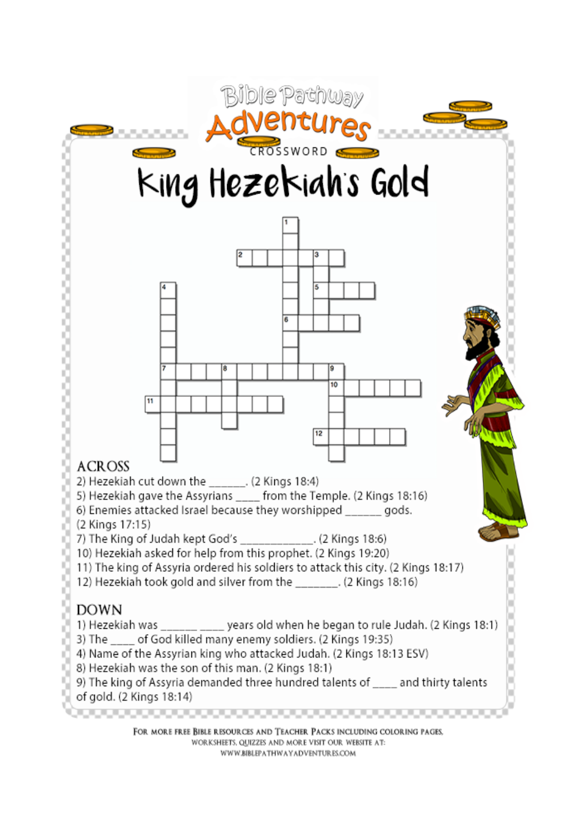

FOR MORE FREE BIBLE RESOURCES AND TEACHER PACKS INCLUDING COLORING PAGES. WORKSHEETS, QUIZZES AND MORE VISIT OUR WEBSITE AT: WWW.BIBLEPATHWAYADVENTURES.COM